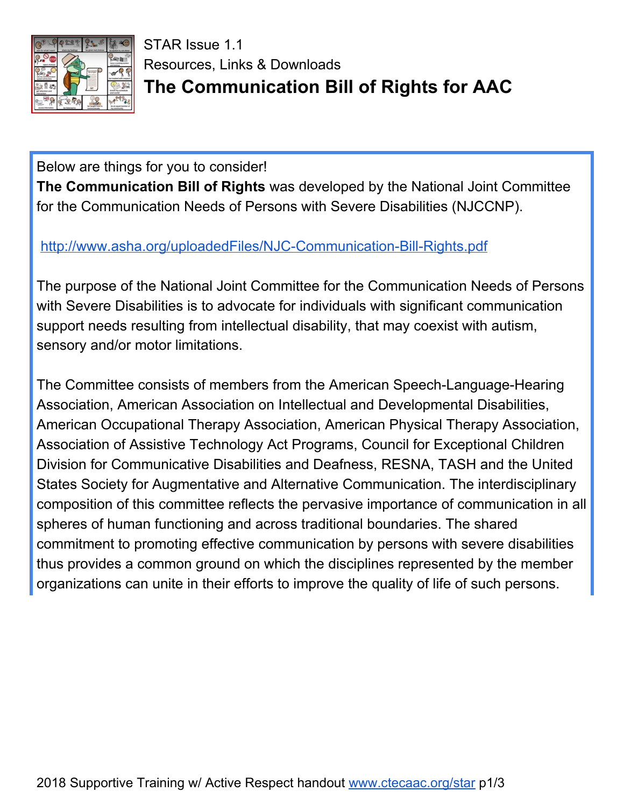

STAR Issue 1.1 Resources, Links & Downloads **The Communication Bill of Rights for AAC**

Below are things for you to consider! **The Communication Bill of Rights** was developed by the National Joint Committee for the Communication Needs of Persons with Severe Disabilities (NJCCNP).

<http://www.asha.org/uploadedFiles/NJC-Communication-Bill-Rights.pdf>

The purpose of the National Joint Committee for the Communication Needs of Persons with Severe Disabilities is to advocate for individuals with significant communication support needs resulting from intellectual disability, that may coexist with autism, sensory and/or motor limitations.

The Committee consists of members from the American Speech-Language-Hearing Association, American Association on Intellectual and Developmental Disabilities, American Occupational Therapy Association, American Physical Therapy Association, Association of Assistive Technology Act Programs, Council for Exceptional Children Division for Communicative Disabilities and Deafness, RESNA, TASH and the United States Society for Augmentative and Alternative Communication. The interdisciplinary composition of this committee reflects the pervasive importance of communication in all spheres of human functioning and across traditional boundaries. The shared commitment to promoting effective communication by persons with severe disabilities thus provides a common ground on which the disciplines represented by the member organizations can unite in their efforts to improve the quality of life of such persons.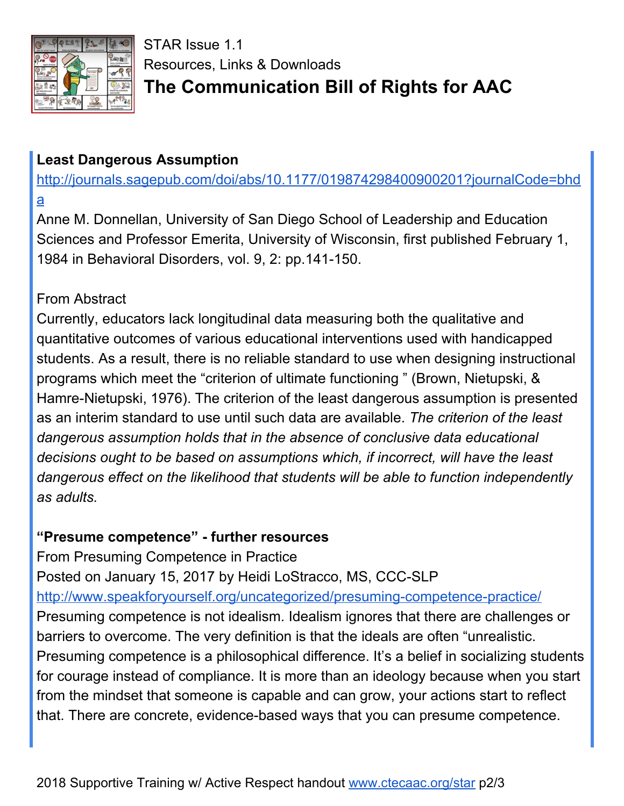

STAR Issue 1.1 Resources, Links & Downloads **The Communication Bill of Rights for AAC**

## **Least Dangerous Assumption**

[http://journals.sagepub.com/doi/abs/10.1177/019874298400900201?journalCode=bhd](http://journals.sagepub.com/doi/abs/10.1177/019874298400900201?journalCode=bhda) [a](http://journals.sagepub.com/doi/abs/10.1177/019874298400900201?journalCode=bhda)

Anne M. Donnellan, University of San Diego School of Leadership and Education Sciences and Professor Emerita, University of Wisconsin, first published February 1, 1984 in Behavioral Disorders, vol. 9, 2: pp.141-150.

## From Abstract

Currently, educators lack longitudinal data measuring both the qualitative and quantitative outcomes of various educational interventions used with handicapped students. As a result, there is no reliable standard to use when designing instructional programs which meet the "criterion of ultimate functioning " (Brown, Nietupski, & Hamre-Nietupski, 1976). The criterion of the least dangerous assumption is presented as an interim standard to use until such data are available. *The criterion of the least dangerous assumption holds that in the absence of conclusive data educational decisions ought to be based on assumptions which, if incorrect, will have the least dangerous effect on the likelihood that students will be able to function independently as adults.*

## **"Presume competence" - further resources**

From Presuming Competence in Practice Posted on January 15, 2017 by Heidi LoStracco, MS, CCC-SLP <http://www.speakforyourself.org/uncategorized/presuming-competence-practice/> Presuming competence is not idealism. Idealism ignores that there are challenges or barriers to overcome. The very definition is that the ideals are often "unrealistic. Presuming competence is a philosophical difference. It's a belief in socializing students for courage instead of compliance. It is more than an ideology because when you start from the mindset that someone is capable and can grow, your actions start to reflect that. There are concrete, evidence-based ways that you can presume competence.